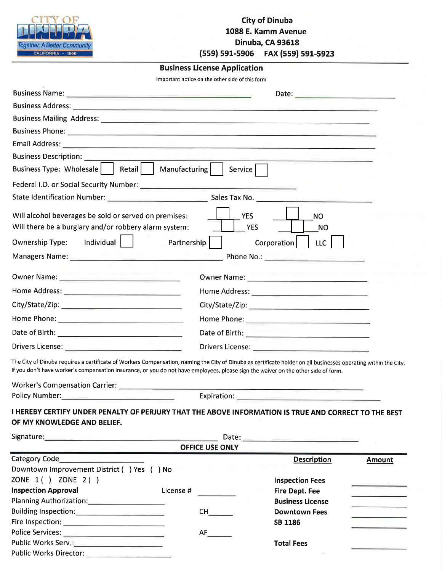| Together, A Better Community<br>CALIFORNIA · 1905                                                                                                                                                                                                                                                    |                                                 | <b>City of Dinuba</b><br>1088 E. Kamm Avenue<br>Dinuba, CA 93618<br>(559) 591-5906 FAX (559) 591-5923 |                                 |  |  |
|------------------------------------------------------------------------------------------------------------------------------------------------------------------------------------------------------------------------------------------------------------------------------------------------------|-------------------------------------------------|-------------------------------------------------------------------------------------------------------|---------------------------------|--|--|
|                                                                                                                                                                                                                                                                                                      | <b>Business License Application</b>             |                                                                                                       |                                 |  |  |
|                                                                                                                                                                                                                                                                                                      | Important notice on the other side of this form |                                                                                                       |                                 |  |  |
|                                                                                                                                                                                                                                                                                                      |                                                 |                                                                                                       |                                 |  |  |
| Business Address: National Accounts and Accounts and Accounts and Accounts and Accounts and Accounts and Accounts and                                                                                                                                                                                |                                                 |                                                                                                       |                                 |  |  |
| Business Mailing Address: 2008 and 2009 and 2009 and 2009 and 2009 and 2009 and 2009 and 2009 and 2009 and 200                                                                                                                                                                                       |                                                 |                                                                                                       |                                 |  |  |
|                                                                                                                                                                                                                                                                                                      |                                                 |                                                                                                       |                                 |  |  |
|                                                                                                                                                                                                                                                                                                      |                                                 |                                                                                                       |                                 |  |  |
|                                                                                                                                                                                                                                                                                                      |                                                 |                                                                                                       |                                 |  |  |
| <b>Business Description:</b>                                                                                                                                                                                                                                                                         |                                                 |                                                                                                       |                                 |  |  |
| Business Type: Wholesale   Retail   Manufacturing                                                                                                                                                                                                                                                    | Service                                         |                                                                                                       |                                 |  |  |
|                                                                                                                                                                                                                                                                                                      |                                                 |                                                                                                       |                                 |  |  |
|                                                                                                                                                                                                                                                                                                      |                                                 |                                                                                                       |                                 |  |  |
| Will alcohol beverages be sold or served on premises:                                                                                                                                                                                                                                                |                                                 | <b>YES</b><br><b>NO</b>                                                                               |                                 |  |  |
| Will there be a burglary and/or robbery alarm system:                                                                                                                                                                                                                                                |                                                 | <b>YES</b>                                                                                            |                                 |  |  |
|                                                                                                                                                                                                                                                                                                      |                                                 | NO.                                                                                                   |                                 |  |  |
| <b>Ownership Type:</b>                                                                                                                                                                                                                                                                               | Partnership                                     | Corporation<br><b>LLC</b>                                                                             |                                 |  |  |
|                                                                                                                                                                                                                                                                                                      |                                                 |                                                                                                       |                                 |  |  |
|                                                                                                                                                                                                                                                                                                      |                                                 |                                                                                                       |                                 |  |  |
|                                                                                                                                                                                                                                                                                                      |                                                 |                                                                                                       |                                 |  |  |
|                                                                                                                                                                                                                                                                                                      |                                                 |                                                                                                       |                                 |  |  |
|                                                                                                                                                                                                                                                                                                      |                                                 |                                                                                                       |                                 |  |  |
|                                                                                                                                                                                                                                                                                                      |                                                 |                                                                                                       |                                 |  |  |
| Drivers License: Entrancement of the contract of the contract of the contract of the contract of the contract of the contract of the contract of the contract of the contract of the contract of the contract of the contract                                                                        |                                                 |                                                                                                       |                                 |  |  |
| The City of Dinuba requires a certificate of Workers Compensation, naming the City of Dinuba as certificate holder on all businesses operating within the City<br>If you don't have worker's compensation insurance, or you do not have employees, please sign the waiver on the other side of form. |                                                 |                                                                                                       |                                 |  |  |
| Policy Number: <u>_____________________________</u>                                                                                                                                                                                                                                                  |                                                 |                                                                                                       |                                 |  |  |
| I HEREBY CERTIFY UNDER PENALTY OF PERJURY THAT THE ABOVE INFORMATION IS TRUE AND CORRECT TO THE BEST<br>OF MY KNOWLEDGE AND BELIEF.                                                                                                                                                                  |                                                 |                                                                                                       |                                 |  |  |
| Signature: Signature: Signature: Signature: Signature: Signature: Signature: Signature: Signature: Signature: Signature: Signature: Signature: Signature: Signature: Signature: Signature: Signature: Signature: Signature: Si                                                                       | <b>OFFICE USE ONLY</b>                          |                                                                                                       |                                 |  |  |
|                                                                                                                                                                                                                                                                                                      |                                                 | <b>Description</b>                                                                                    | <b>Amount</b>                   |  |  |
| Downtown Improvement District ( ) Yes ( ) No                                                                                                                                                                                                                                                         |                                                 |                                                                                                       |                                 |  |  |
| ZONE 1() ZONE 2()                                                                                                                                                                                                                                                                                    |                                                 | <b>Inspection Fees</b>                                                                                |                                 |  |  |
| <b>Inspection Approval</b>                                                                                                                                                                                                                                                                           | <u>a sa sala</u><br>License #                   | <b>Fire Dept. Fee</b>                                                                                 | <u> 1980 - An Carlos Angele</u> |  |  |
| Planning Authorization:<br>Fig. 2014                                                                                                                                                                                                                                                                 |                                                 | <b>Business License</b>                                                                               |                                 |  |  |
|                                                                                                                                                                                                                                                                                                      |                                                 | <b>Downtown Fees</b>                                                                                  |                                 |  |  |
| Fire Inspection: <b>All Properties</b>                                                                                                                                                                                                                                                               |                                                 | SB 1186                                                                                               |                                 |  |  |
| Police Services: ________________________________                                                                                                                                                                                                                                                    | AF                                              |                                                                                                       |                                 |  |  |

**Total Fees** 

Public Works Director: 2008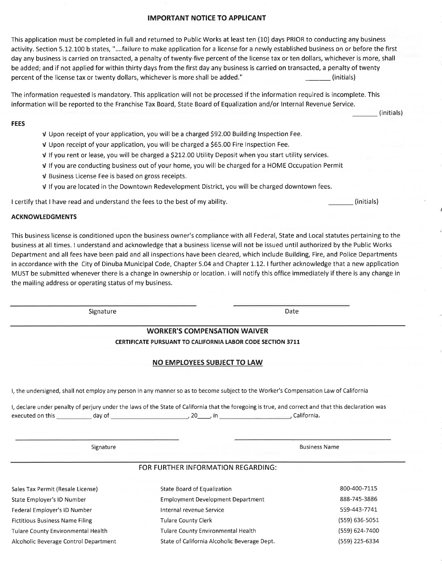## **IMPORTANT NOTICE TO APPLICANT**

This application must be completed in full and returned to Public Works at least ten (10) days PRIOR to conducting any business activity. Section 5.12.100 b states, "....failure to make application for a license for a newly established business on or before the first day any business is carried on transacted, a penalty of twenty-five percent of the license tax or ten dollars, whichever is more, shall be added; and if not applied for within thirty days from the first day any business is carried on transacted, a penalty of twenty percent of the license tax or twenty dollars, whichever is more shall be added." (initials)

The information requested is mandatory. This application will not be processed if the information required is incomplete. This information will be reported to the Franchise Tax Board, State Board of Equalization and/or Internal Revenue Service.

### **FEES**

- V Upon receipt of your application, you will be a charged \$92.00 Building Inspection Fee.
- V Upon receipt of your application, you will be charged a \$65.00 Fire Inspection Fee.
- V If you rent or lease, you will be charged a \$212.00 Utility Deposit when you start utility services.
- v If you are conducting business out of your home, you will be charged for a HOME Occupation Permit
- V Business License Fee is based on gross receipts.
- V If you are located in the Downtown Redevelopment District, you will be charged downtown fees.

I certify that I have read and understand the fees to the best of my ability.

### **ACKNOWLEDGMENTS**

This business license is conditioned upon the business owner's compliance with all Federal, State and Local statutes pertaining to the business at all times. I understand and acknowledge that a business license will not be issued until authorized by the Public Works Department and all fees have been paid and all inspections have been cleared, which include Building, Fire, and Police Departments in accordance with the City of Dinuba Municipal Code, Chapter 5.04 and Chapter 1.12. I further acknowledge that a new application MUST be submitted whenever there is a change in ownership or location. I will notify this office immediately if there is any change in the mailing address or operating status of my business.

Signature

Date

# **WORKER'S COMPENSATION WAIVER**

CERTIFICATE PURSUANT TO CALIFORNIA LABOR CODE SECTION 3711

# NO EMPLOYEES SUBJECT TO LAW

I, the undersigned, shall not employ any person in any manner so as to become subject to the Worker's Compensation Law of California

I, declare under penalty of perjury under the laws of the State of California that the foregoing is true, and correct and that this declaration was 

Signature

**Business Name** 

# FOR FURTHER INFORMATION REGARDING:

| Sales Tax Permit (Resale License)      | State Board of Equalization                  | 800-400-7115   |
|----------------------------------------|----------------------------------------------|----------------|
| State Employer's ID Number             | <b>Employment Development Department</b>     | 888-745-3886   |
| Federal Employer's ID Number           | Internal revenue Service                     | 559-443-7741   |
| <b>Fictitious Business Name Filing</b> | <b>Tulare County Clerk</b>                   | (559) 636-5051 |
| Tulare County Environmental Health     | <b>Tulare County Environmental Health</b>    | (559) 624-7400 |
| Alcoholic Beverage Control Department  | State of California Alcoholic Beverage Dept. | (559) 225-6334 |

(initials)

(initials)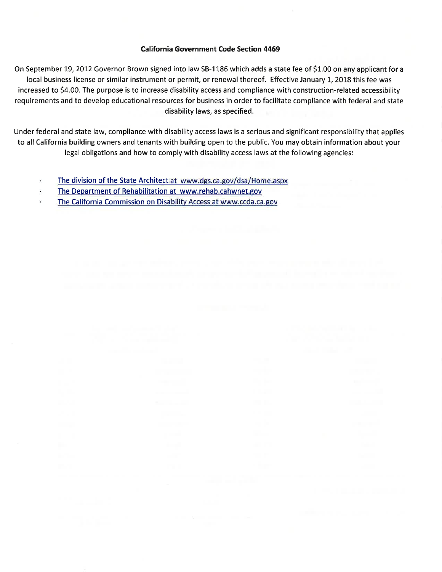# **California Government Code Section 4469**

On September 19, 2012 Governor Brown signed into law SB-1186 which adds a state fee of \$1.00 on any applicant for a local business license or similar instrument or permit, or renewal thereof. Effective January 1, 2018 this fee was increased to \$4.00. The purpose is to increase disability access and compliance with construction-related accessibility requirements and to develop educational resources for business in order to facilitate compliance with federal and state disability laws, as specified.

Under federal and state law, compliance with disability access laws is a serious and significant responsibility that applies to all California building owners and tenants with building open to the public. You may obtain information about your legal obligations and how to comply with disability access laws at the following agencies:

- The division of the State Architect at www.dgs.ca.gov/dsa/Home.aspx ٠
- The Department of Rehabilitation at www.rehab.cahwnet.gov G
- The California Commission on Disability Access at www.ccda.ca.gov ¥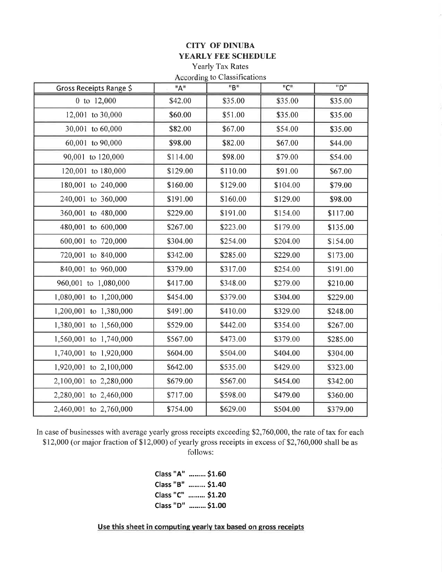# **CITY OF DINUBA** YEARLY FEE SCHEDULE

Yearly Tax Rates According to Classifications

|                         |          | According to Crassifications |                                          |                  |
|-------------------------|----------|------------------------------|------------------------------------------|------------------|
| Gross Receipts Range \$ | "A"      | "B"                          | $^{\mathrm{II}}\mathrm{C}^{\mathrm{II}}$ | $\overline{P''}$ |
| 0 to 12,000             | \$42.00  | \$35.00                      | \$35.00                                  | \$35.00          |
| 12,001 to 30,000        | \$60.00  | \$51.00                      | \$35.00                                  | \$35.00          |
| 30,001 to 60,000        | \$82.00  | \$67.00                      | \$54.00                                  | \$35.00          |
| 60,001 to 90,000        | \$98.00  | \$82.00                      | \$67.00                                  | \$44.00          |
| 90,001 to 120,000       | \$114.00 | \$98.00                      | \$79.00                                  | \$54.00          |
| 120,001 to 180,000      | \$129.00 | \$110.00                     | \$91.00                                  | \$67.00          |
| 180,001 to 240,000      | \$160.00 | \$129.00                     | \$104.00                                 | \$79.00          |
| 240,001 to 360,000      | \$191.00 | \$160.00                     | \$129.00                                 | \$98.00          |
| 360,001 to 480,000      | \$229.00 | \$191.00                     | \$154.00                                 | \$117.00         |
| 480,001 to 600,000      | \$267.00 | \$223.00                     | \$179.00                                 | \$135.00         |
| 600,001 to 720,000      | \$304.00 | \$254.00                     | \$204.00                                 | \$154.00         |
| 720,001 to 840,000      | \$342.00 | \$285.00                     | \$229.00                                 | \$173.00         |
| 840,001 to 960,000      | \$379.00 | \$317.00                     | \$254.00                                 | \$191.00         |
| 960,001 to 1,080,000    | \$417.00 | \$348.00                     | \$279.00                                 | \$210.00         |
| 1,080,001 to 1,200,000  | \$454.00 | \$379.00                     | \$304.00                                 | \$229.00         |
| 1,200,001 to 1,380,000  | \$491.00 | \$410.00                     | \$329.00                                 | \$248.00         |
| 1,380,001 to 1,560,000  | \$529.00 | \$442.00                     | \$354.00                                 | \$267.00         |
| 1,560,001 to 1,740,000  | \$567.00 | \$473.00                     | \$379.00                                 | \$285.00         |
| 1,740,001 to 1,920,000  | \$604.00 | \$504.00                     | \$404.00                                 | \$304.00         |
| 1,920,001 to 2,100,000  | \$642.00 | \$535.00                     | \$429.00                                 | \$323.00         |
| 2,100,001 to 2,280,000  | \$679.00 | \$567.00                     | \$454.00                                 | \$342.00         |
| 2,280,001 to 2,460,000  | \$717.00 | \$598.00                     | \$479.00                                 | \$360.00         |
| 2,460,001 to 2,760,000  | \$754.00 | \$629.00                     | \$504.00                                 | \$379.00         |

In case of businesses with average yearly gross receipts exceeding \$2,760,000, the rate of tax for each \$12,000 (or major fraction of \$12,000) of yearly gross receipts in excess of \$2,760,000 shall be as follows:

| Class "A"  \$1.60 |
|-------------------|
| Class "B"  \$1.40 |
| Class "C"  \$1.20 |
| Class "D"  \$1.00 |

Use this sheet in computing yearly tax based on gross receipts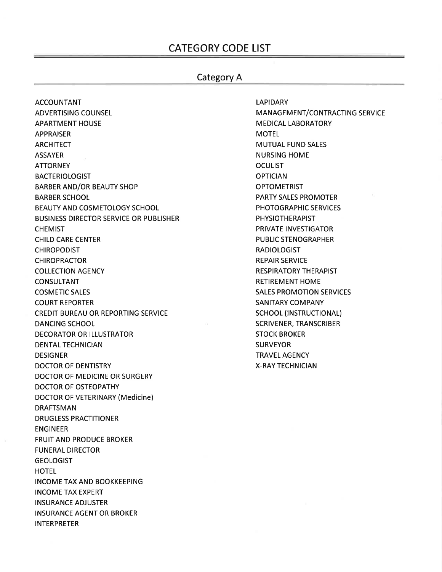# **CATEGORY CODE LIST**

# **Category A**

**LAPIDARY** 

**ACCOUNTANT ADVERTISING COUNSEL APARTMENT HOUSE APPRAISER ARCHITECT ASSAYER ATTORNEY BACTERIOLOGIST BARBER AND/OR BEAUTY SHOP BARBER SCHOOL BEAUTY AND COSMETOLOGY SCHOOL BUSINESS DIRECTOR SERVICE OR PUBLISHER CHEMIST CHILD CARE CENTER CHIROPODIST CHIROPRACTOR COLLECTION AGENCY CONSULTANT COSMETIC SALES COURT REPORTER CREDIT BUREAU OR REPORTING SERVICE DANCING SCHOOL DECORATOR OR ILLUSTRATOR DENTAL TECHNICIAN DESIGNER DOCTOR OF DENTISTRY** DOCTOR OF MEDICINE OR SURGERY **DOCTOR OF OSTEOPATHY DOCTOR OF VETERINARY (Medicine) DRAFTSMAN DRUGLESS PRACTITIONER ENGINEER FRUIT AND PRODUCE BROKER FUNERAL DIRECTOR GEOLOGIST HOTEL INCOME TAX AND BOOKKEEPING INCOME TAX EXPERT INSURANCE ADJUSTER INSURANCE AGENT OR BROKER INTERPRETER** 

**MANAGEMENT/CONTRACTING SERVICE MEDICAL LABORATORY MOTEL MUTUAL FUND SALES NURSING HOME OCULIST OPTICIAN OPTOMETRIST PARTY SALES PROMOTER** PHOTOGRAPHIC SERVICES **PHYSIOTHERAPIST** PRIVATE INVESTIGATOR **PUBLIC STENOGRAPHER RADIOLOGIST REPAIR SERVICE RESPIRATORY THERAPIST RETIREMENT HOME SALES PROMOTION SERVICES SANITARY COMPANY SCHOOL (INSTRUCTIONAL) SCRIVENER, TRANSCRIBER STOCK BROKER SURVEYOR TRAVEL AGENCY X-RAY TECHNICIAN**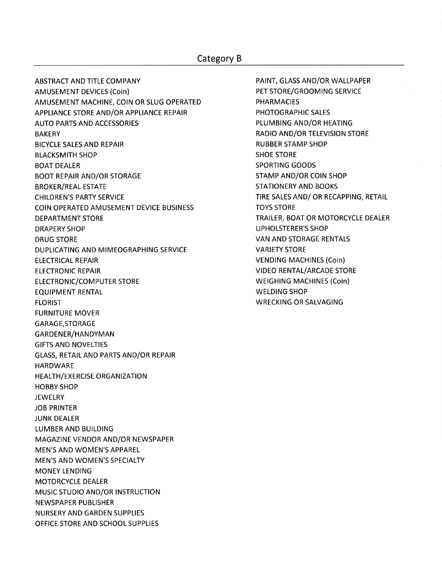# Category B

**ABSTRACT AND TITLE COMPANY AMUSEMENT DEVICES (Coin)** AMUSEMENT MACHINE, COIN OR SLUG OPERATED APPLIANCE STORE AND/OR APPLIANCE REPAIR **AUTO PARTS AND ACCESSORIES BAKERY BICYCLE SALES AND REPAIR BLACKSMITH SHOP BOAT DEALER BOOT REPAIR AND/OR STORAGE BROKER/REAL ESTATE CHILDREN'S PARTY SERVICE COIN OPERATED AMUSEMENT DEVICE BUSINESS DEPARTMENT STORE DRAPERY SHOP DRUG STORE** DUPLICATING AND MIMEOGRAPHING SERVICE **ELECTRICAL REPAIR ELECTRONIC REPAIR ELECTRONIC/COMPUTER STORE EQUIPMENT RENTAL FLORIST FURNITURE MOVER** GARAGE, STORAGE GARDENER/HANDYMAN **GIFTS AND NOVELTIES GLASS, RETAIL AND PARTS AND/OR REPAIR HARDWARE** HEALTH/EXERCISE ORGANIZATION **HOBBY SHOP JEWELRY JOB PRINTER JUNK DEALER LUMBER AND BUILDING** MAGAZINE VENDOR AND/OR NEWSPAPER MEN'S AND WOMEN'S APPAREL MEN'S AND WOMEN'S SPECIALTY **MONEY LENDING MOTORCYCLE DEALER MUSIC STUDIO AND/OR INSTRUCTION NEWSPAPER PUBLISHER NURSERY AND GARDEN SUPPLIES** OFFICE STORE AND SCHOOL SUPPLIES

PAINT, GLASS AND/OR WALLPAPER PET STORE/GROOMING SERVICE **PHARMACIES** PHOTOGRAPHIC SALES PLUMBING AND/OR HEATING **RADIO AND/OR TELEVISION STORE RUBBER STAMP SHOP SHOE STORE SPORTING GOODS STAMP AND/OR COIN SHOP STATIONERY AND BOOKS** TIRE SALES AND/ OR RECAPPING, RETAIL **TOYS STORE** TRAILER, BOAT OR MOTORCYCLE DEALER **UPHOLSTERER'S SHOP VAN AND STORAGE RENTALS VARIETY STORE VENDING MACHINES (Coin) VIDEO RENTAL/ARCADE STORE WEIGHING MACHINES (Coin) WELDING SHOP WRECKING OR SALVAGING**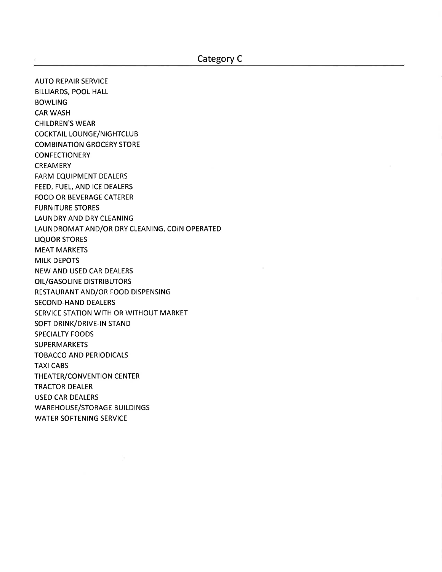**AUTO REPAIR SERVICE BILLIARDS, POOL HALL BOWLING CAR WASH CHILDREN'S WEAR COCKTAIL LOUNGE/NIGHTCLUB COMBINATION GROCERY STORE CONFECTIONERY CREAMERY FARM EQUIPMENT DEALERS** FEED, FUEL, AND ICE DEALERS **FOOD OR BEVERAGE CATERER FURNITURE STORES LAUNDRY AND DRY CLEANING** LAUNDROMAT AND/OR DRY CLEANING, COIN OPERATED **LIQUOR STORES MEAT MARKETS MILK DEPOTS** NEW AND USED CAR DEALERS OIL/GASOLINE DISTRIBUTORS RESTAURANT AND/OR FOOD DISPENSING **SECOND-HAND DEALERS** SERVICE STATION WITH OR WITHOUT MARKET SOFT DRINK/DRIVE-IN STAND **SPECIALTY FOODS SUPERMARKETS TOBACCO AND PERIODICALS TAXI CABS** THEATER/CONVENTION CENTER **TRACTOR DEALER USED CAR DEALERS WAREHOUSE/STORAGE BUILDINGS WATER SOFTENING SERVICE**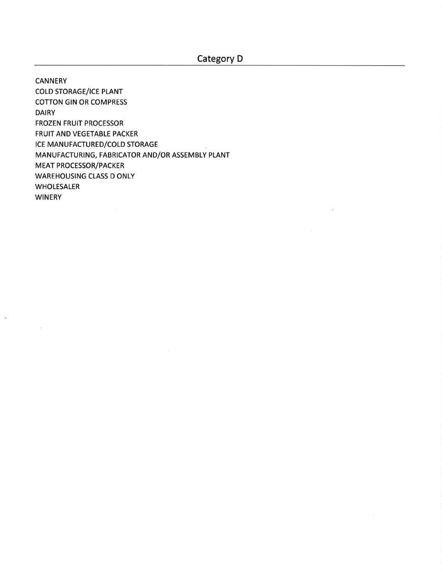**CANNERY** 

 $\langle \cdot | \cdot \rangle$ 

**COLD STORAGE/ICE PLANT COTTON GIN OR COMPRESS DAIRY FROZEN FRUIT PROCESSOR** FRUIT AND VEGETABLE PACKER ICE MANUFACTURED/COLD STORAGE MANUFACTURING, FABRICATOR AND/OR ASSEMBLY PLANT **MEAT PROCESSOR/PACKER WAREHOUSING CLASS D ONLY WHOLESALER WINERY**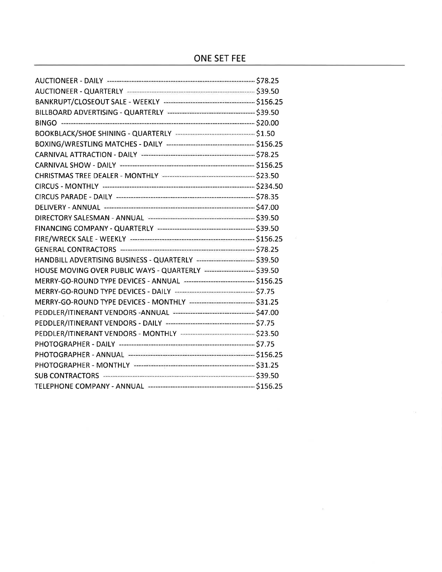# ONE SET FEE

 $\mu_{\rm c}$ 

| DIRECTORY SALESMAN - ANNUAL <b>Extreme Contract Contract Contract S39.50</b>  |  |
|-------------------------------------------------------------------------------|--|
|                                                                               |  |
|                                                                               |  |
|                                                                               |  |
| HANDBILL ADVERTISING BUSINESS - QUARTERLY ------------------------- \$39.50   |  |
| HOUSE MOVING OVER PUBLIC WAYS - QUARTERLY <b>FELLION CONTROLS</b> \$39.50     |  |
| MERRY-GO-ROUND TYPE DEVICES - ANNUAL ------------------------------- \$156.25 |  |
|                                                                               |  |
| MERRY-GO-ROUND TYPE DEVICES - MONTHLY ---------------------------- \$31.25    |  |
| PEDDLER/ITINERANT VENDORS -ANNUAL ----------------------------------- \$47.00 |  |
|                                                                               |  |
| PEDDLER/ITINERANT VENDORS - MONTHLY ------------------------------- \$23.50   |  |
|                                                                               |  |
|                                                                               |  |
|                                                                               |  |
|                                                                               |  |
|                                                                               |  |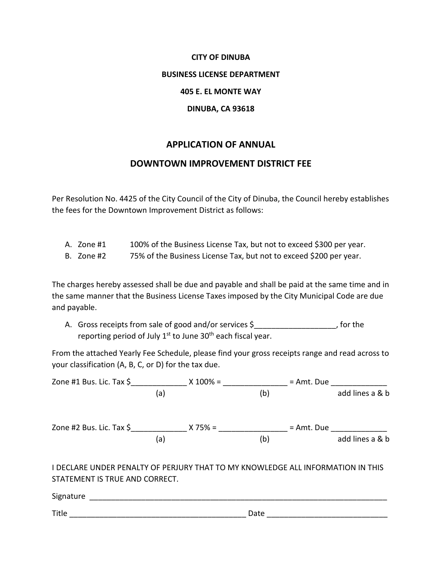# **CITY OF DINUBA BUSINESS LICENSE DEPARTMENT 405 E. EL MONTE WAY DINUBA, CA 93618**

# **APPLICATION OF ANNUAL**

# **DOWNTOWN IMPROVEMENT DISTRICT FEE**

Per Resolution No. 4425 of the City Council of the City of Dinuba, the Council hereby establishes the fees for the Downtown Improvement District as follows:

- A. Zone #1 100% of the Business License Tax, but not to exceed \$300 per year.
- B. Zone #2 75% of the Business License Tax, but not to exceed \$200 per year.

The charges hereby assessed shall be due and payable and shall be paid at the same time and in the same manner that the Business License Taxes imposed by the City Municipal Code are due and payable.

A. Gross receipts from sale of good and/or services \$ \_\_\_\_\_\_\_\_\_\_\_\_\_, for the reporting period of July  $1^{st}$  to June  $30^{th}$  each fiscal year.

From the attached Yearly Fee Schedule, please find your gross receipts range and read across to your classification (A, B, C, or D) for the tax due.

| Zone #1 Bus. Lic. Tax $\zeta$                                                                                     |     | $X 100\% =$ |      | = Amt. Due |                 |
|-------------------------------------------------------------------------------------------------------------------|-----|-------------|------|------------|-----------------|
|                                                                                                                   | (a) |             | (b)  |            | add lines a & b |
| Zone #2 Bus. Lic. Tax $\sinh(3\theta)$ X 75% =                                                                    |     |             |      | = Amt. Due |                 |
|                                                                                                                   | (a) |             | (b)  |            | add lines a & b |
| I DECLARE UNDER PENALTY OF PERJURY THAT TO MY KNOWLEDGE ALL INFORMATION IN THIS<br>STATEMENT IS TRUE AND CORRECT. |     |             |      |            |                 |
| Signature                                                                                                         |     |             |      |            |                 |
| Title                                                                                                             |     |             | Date |            |                 |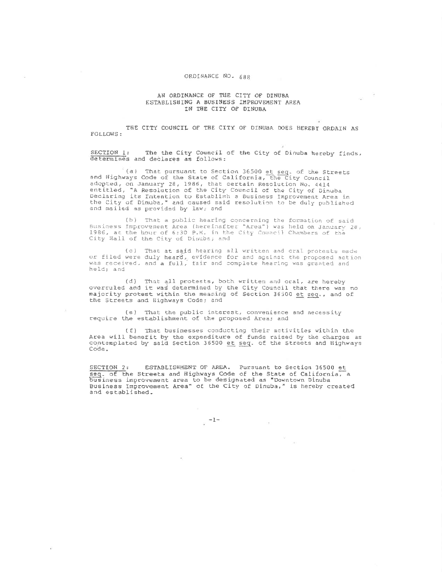#### ORDINANCE NO. 688

### AN ORDINANCE OF THE CITY OF DINUBA ESTABLISHING A BUSINESS IMPROVEMENT AREA IN THE CITY OF DINUBA

**COLLECTION** 

THE CITY COUNCIL OF THE CITY OF DINUBA DOES HEREBY ORDAIN AS **FOLLOWS:** 

SECTION 1: The the City Council of the City of Dinuba hereby finds, determines and declares as follows:

(a) That pursuant to Section 36500 et seq. of the Streets<br>and Highways Code of the State of California, the City Council adopted, on January 28, 1986, that certain Resolution No. 4414 entitled, "A Resolution of the City Council of the City of Dinuba Declaring its Intention to Establish a Business Improvement Area in the City of Dinuba," and caused said resolution to be duly published and mailed as provided by law; and

(b) That a public hearing concerning the formation of said Business Improvement Area (hereinafter "Area") was held on January 28,<br>1986, at the hour of 6:30 P.M. in the City Council Chambers of the City Hall of the City of Dinuba; and

(c) That at said hearing all written and cral protests made or filed were duly heard, evidence for and against the proposed action<br>was received, and a full, fair and complete hearing was granted and held; and

(d) That all protests, both written and oral, are hereby overruled and it was determined by the City Council that there was no majority protest within the meaning of Section 36500 et seq., and of the Streets and Highways Code; and

(e) That the public interest, convenience and necessity require the establishment of the proposed Area; and

(f) That businesses conducting their activities within the<br>Area will benefit by the expenditure of funds raised by the charges as<br>contemplated by said Section 36500 et seq. of the Streets and Highways Code.

ESTABLISHMENT OF AREA. Pursuant to Section 36500 et SECTION 2: seq. of the Streets and Highways Code of the State of California, a business improvement area to be designated as "Downtown Dinuba Business Improvement Area" of the City of Dinuba," is hereby created and established.

 $\sim$ 

 $_{\rm g}$  =1=

à.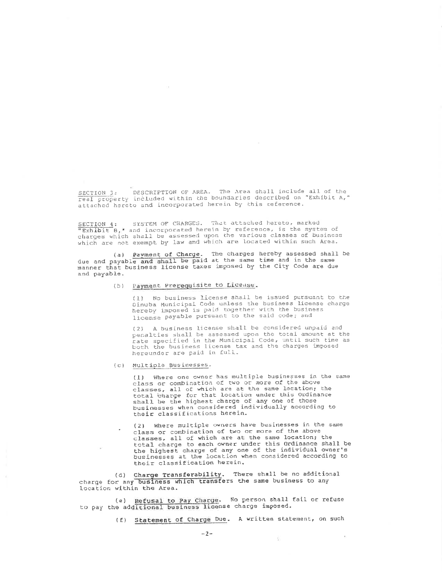SECTION 3: DESCRIPTION OF AREA. The Area shall include all of the real property included within the boundaries described on "Exhibit A," attached hereto and incorporated herein by this reference.

SYSTEM OF CHARGES. That attached hereto, marked SECTION 4: "Exhibit B," and incorporated herein by reference, is the system of charges which shall be assessed upon the various classes of business which are not exempt by law and which are located within such Area.

(a) Payment of Charge. The charges hereby assessed shall be due and payable and shall be paid at the same time and in the same<br>manner that business license taxes imposed by the City Code are due and payable.

# (b) Payment Prerequisite to License.

(1) No business license shall be issued pursuant to the Dinuba Municipal Code unless the business license charge hereby imposed is paid together with the business license payable pursuant to the said code; and

A business license shall be considered unpaid and  $(2)$ penalties shall be assessed upon the total amount at the rate specified in the Municipal Code, until such time as<br>both the business license tax and the charges imposed hereunder are paid in full.

### (c) Multiple Businesses.

(1) Where one owner has multiple businesses in the same class or combination of two or more of the above classes, all of which are at the same location; the total charge for that location under this Ordinance shall be the highest charge of any one of those<br>businesses when considered individually according to their classifications herein.

(2) Where multiple owners have businesses in the same class or combination of two or more of the above classes, all of which are at the same location; the total charge to each owner under this Ordinance shall be<br>the highest charge of any one of the individual owner's businesses at the location when considered according to their classification herein.

(d) Charge Transferability. There shall be no additional charge for any business which transfers the same business to any location within the Area.

(e) Refusal to Pay Charge. No person shall fail or refuse to pay the additional business license charge imposed.

(f) Statement of Charge Due. A written statement, on such

÷.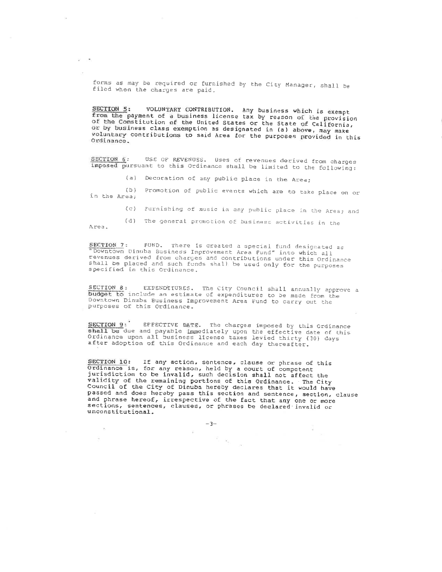forms as may be required or furnished by the City Manager, shall be filed when the charges are paid.

VOLUNTARY CONTRIBUTION. Any business which is exempt SECTION 5: from the payment of a business license tax by reason of the provision of the Constitution of the United States or the State of California, or by business class exemption as designated in (a) above, may make voluntary contributions to said Area for the purposes provided in this Ordinance.

SECTION 6: USE OF REVENUES. Uses of revenues derived from charges imposed pursuant to this Ordinance shall be limited to the following:

(a) Decoration of any public place in the Area;

(b) Promotion of public events which are to take place on or in the Area;

(c) Furnishing of music in any public place in the Area; and

(d) The general promotion of business activities in the Area.

SECTION 7: FUND. There is created a special fund designaced<br>"Downtown Dinuba Business Improvement Area Fund" into which all FUND. There is created a special fund designated as revenues derived from charges and contributions under this Ordinance shall be placed and such funds shall be used only for the purposes specified in this Ordinance.

EXPENDITURES. The City Council shall annually approve a SECTION 8: budget to include an estimate of expenditures to be made from the Downtown Dinuba Business Improvement Area Fund to carry out the purposes of this Ordinance.

SECTION 9: EFFECTIVE DATE. The charges imposed by this Ordinance shall be due and payable immediately upon the effective date of this Ordinance upon all business license taxes levied thirty (30) days after adoption of this Ordinance and each day thereafter.

SECTION 10: If any action, sentence, clause or phrase of this ordinance is, for any reason, held by a court of competent jurisdiction to be invalid, such decision shall not affect the validity of the remaining portions of this Ordinance. The City Council of the City of Dinuba hereby declares that it would have passed and does hereby pass this section and sentence, section, clause and phrase hereof, irrespective of the fact that any one or more sections, sentences, clauses, or phrases be declared invalid or unconstitutional.

 $\tau_{\rm c}$   $z_{\rm s}$ 

 $-3-$ 

 $\sim$ 

 $\alpha$ 

 $\mathcal{L}^{\prime}$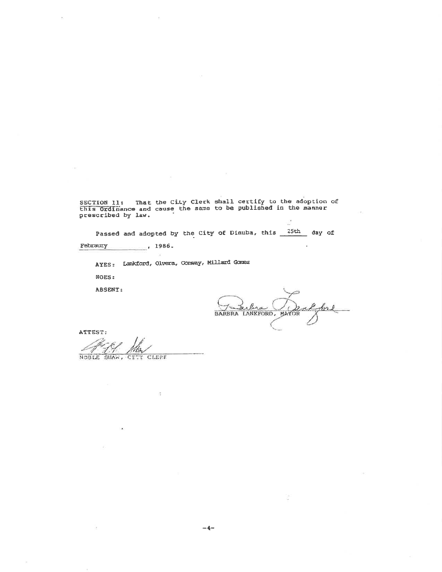SECTION 11: That the City Clerk shall certify to the adoption of<br>this Ordinance and cause the same to be published in the manner prescribed by law.

Passed and adopted by the City of Dinuba, this 25th day of

Febraury  $-1986$ 

AYES: Lankford, Olvera, Comway, Millard Gomez

NOES:

ABSENT:

lera BARBRA LANKFORD, MAYOR

ATTEST:

NOBLE SHAW, CITY CLERK

ié.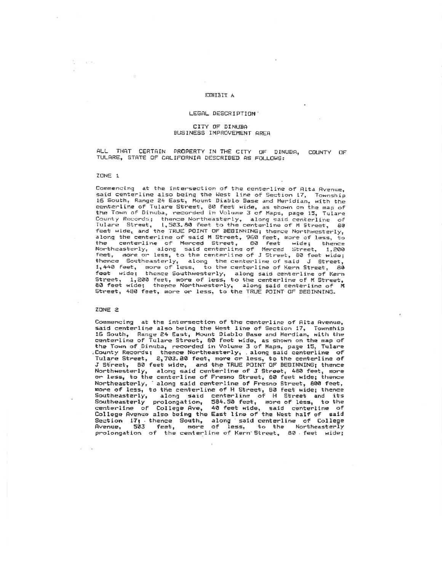### EXHIBIT A

#### LEGAL DESCRIPTION"

#### CITY OF DINUBA BUSINESS IMPROVEMENT AREA

THAT CERTAIN PROPERTY IN THE CITY OF DINUBA,  $AP$   $I$ COUNTY OF TULARE, STATE OF CALIFORNIA DESCRIBED AS FOLLOWS:

#### ZONE 1

Commencing at the intersection of the centerline of Alta Ayenue. said centerline also being the West line of Section 17, Township<br>16 South, Range 24 East, Mount Diablo Base and Meridian, with the centerline of Tulare Street, 80 feet wide, as shown on the map of<br>the Town of Dinuba, recorded in Volume 3 of Maps, page 15, Tulare County Records; thence Northeasterly, along said centerline of<br>Tulare Street, 1,503.80 feet to the centerline of M Street, 80 Tulare Street, 1,503.80 feet to the centerline of M Street, 80<br>feet wide, and the TRUE POINT OF BEGINNING; thence Northwesterly, along the centerline of said M Street, 960 feet, more of less, to<br>the centerline of Merced Street, 960 feet, more of less, to Northeasterly, along said centerline of Merced Street, 1,200<br>feet, more or less, to the centerline of J Street, 80 feet wide; The contrasterly, along the centerine or J street, so reet wide;<br>thence Southeasterly, along the centerline of Said J Street,<br>1,440 feet, more of less, to the centerline of Kern Street, 80<br>feet wide; thence Southwesterly,

### ZONE 2

Commencing at the intersection of the centerline of Alta Avenue, said centerline also being the West line of Section 17, Township 16 South, Range 24 East, Mount Diablo Base and Merdian, with the centerline of Tulare Street, 80 feet wide, as shown on the map of<br>the Town of Dinuba, recorded in Volume 3 of Maps, page 15, Tulare County Records; thence Northeasterly, along said centerline of<br>Tulare Street, 2,703.80 feet, more or less, to the centerline of<br>J Street, 80 feet wide, and the TRUE POINT OF BEGINNING; thence Northwesterly, along said centerline of J Street, 480 feet, more or less, to the centerline of Fresno Street, 80 feet wide; thence Northeasterly, along said centerline of Fresno bersee, www.com.<br>Northeasterly, along said centerline of H Street, B0 feet wide; thence<br>Southeasterly, along said centerline of H Street and its<br>Southeasterly, along said cent Southeasterly prolongation, 584.50 feet, more of less, to the<br>centerline of College Ave, 40 feet wide, said centerline of<br>College Avenue also being the East line of the West half of said Section 17, thence South, along said centerline of College<br>Avenue, 503 feet, more of less, to the Northeasterly prolongation of the centerline of Kern Street, 80 feet wide;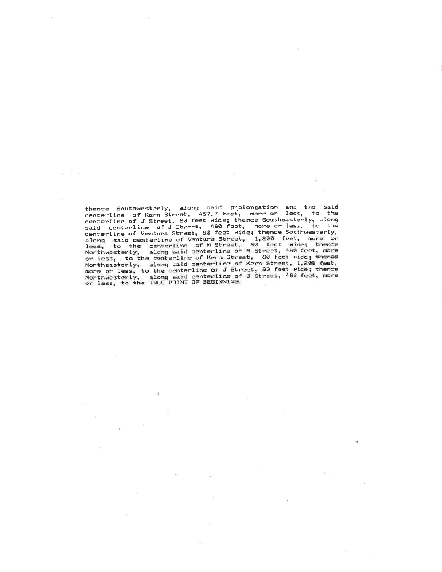thence Southwesterly, along said prolongation and the said<br>centerline of Kern Street, 457.7 feet, more or less, to the<br>centerline of J Street, 80 feet wide; thence Southeasterly, along<br>said centerline of J Street, 480 feet Northeasterly, along said centerline of Kern Street, 1,200 feet, Northwesterly, along said centerline of J Street, 480 feet, more<br>or less, to the TRUE POINT OF BEGINNING.

×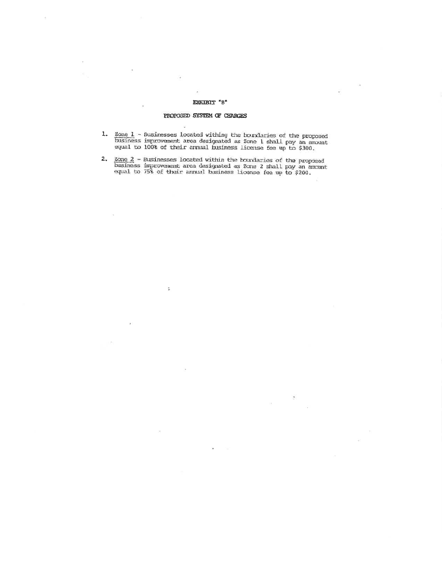### EXRIBIT "B"

### PROPOSED SYSTEM OF CHARGES

 $\mathcal{L}$ 

d.

- 1. <u>Zone 1</u> Susinesses located withing the boundaries of the proposed business improvement area designated as Zone 1 shall pay an amount equal to 100% of their annual business license fee up to  $$300$ .
- 2. Zone  $2$  Businesses located within the boundaries of the proposed business improvement area designated as Zone 2 shall pay an amount equal to  $75\frac{2}{3}$  of their annual business license fee up to  $5200$ .